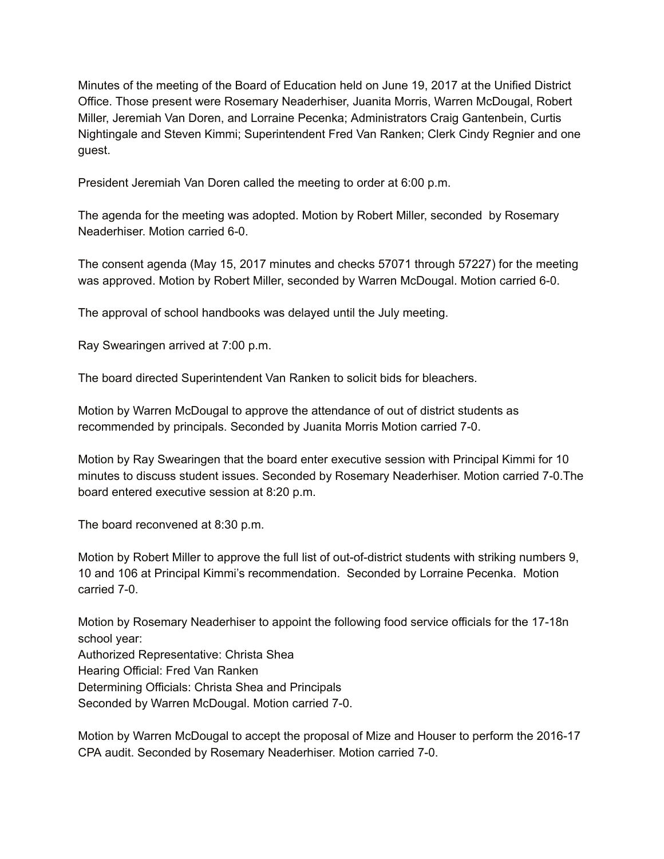Minutes of the meeting of the Board of Education held on June 19, 2017 at the Unified District Office. Those present were Rosemary Neaderhiser, Juanita Morris, Warren McDougal, Robert Miller, Jeremiah Van Doren, and Lorraine Pecenka; Administrators Craig Gantenbein, Curtis Nightingale and Steven Kimmi; Superintendent Fred Van Ranken; Clerk Cindy Regnier and one guest.

President Jeremiah Van Doren called the meeting to order at 6:00 p.m.

The agenda for the meeting was adopted. Motion by Robert Miller, seconded by Rosemary Neaderhiser. Motion carried 6-0.

The consent agenda (May 15, 2017 minutes and checks 57071 through 57227) for the meeting was approved. Motion by Robert Miller, seconded by Warren McDougal. Motion carried 6-0.

The approval of school handbooks was delayed until the July meeting.

Ray Swearingen arrived at 7:00 p.m.

The board directed Superintendent Van Ranken to solicit bids for bleachers.

Motion by Warren McDougal to approve the attendance of out of district students as recommended by principals. Seconded by Juanita Morris Motion carried 7-0.

Motion by Ray Swearingen that the board enter executive session with Principal Kimmi for 10 minutes to discuss student issues. Seconded by Rosemary Neaderhiser. Motion carried 7-0.The board entered executive session at 8:20 p.m.

The board reconvened at 8:30 p.m.

Motion by Robert Miller to approve the full list of out-of-district students with striking numbers 9, 10 and 106 at Principal Kimmi's recommendation. Seconded by Lorraine Pecenka. Motion  $carried$   $7-0.$ 

Motion by Rosemary Neaderhiser to appoint the following food service officials for the 17-18n school year: Authorized Representative: Christa Shea Hearing Official: Fred Van Ranken Determining Officials: Christa Shea and Principals Seconded by Warren McDougal. Motion carried 7-0.

Motion by Warren McDougal to accept the proposal of Mize and Houser to perform the 2016-17 CPA audit. Seconded by Rosemary Neaderhiser. Motion carried 7-0.